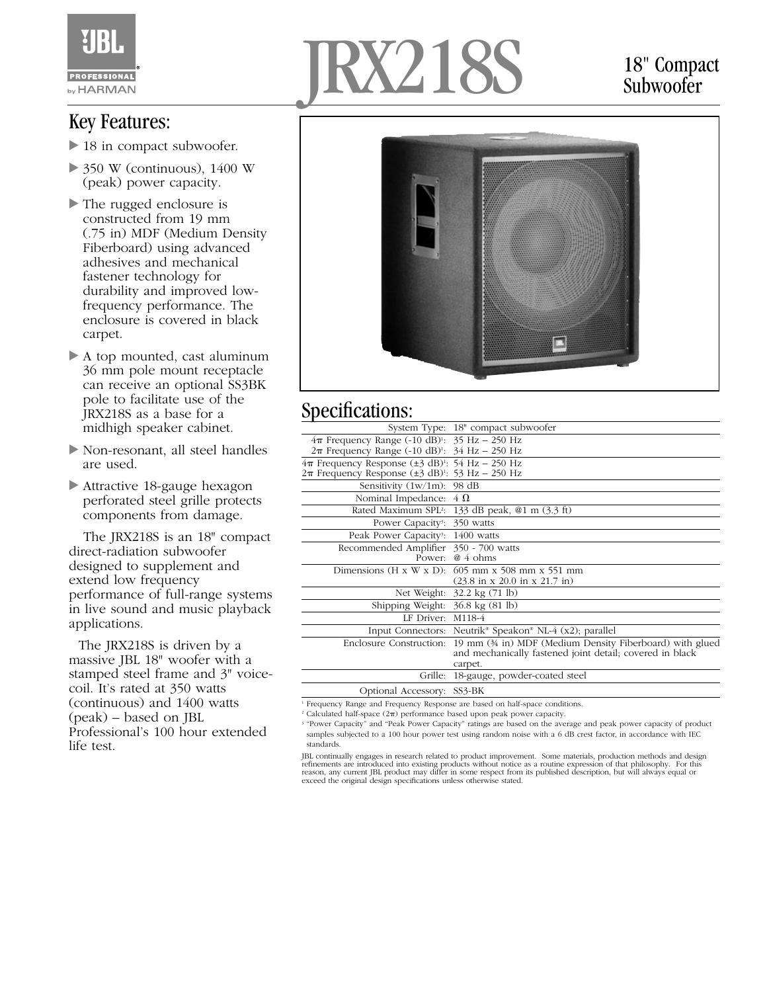

#### Key Features:

- 18 in compact subwoofer.
- $\triangleright$  350 W (continuous), 1400 W (peak) power capacity.
- The rugged enclosure is constructed from 19 mm (.75 in) MDF (Medium Density Fiberboard) using advanced adhesives and mechanical fastener technology for durability and improved lowfrequency performance. The enclosure is covered in black carpet.
- A top mounted, cast aluminum 36 mm pole mount receptacle can receive an optional SS3BK pole to facilitate use of the JRX218S as a base for a midhigh speaker cabinet.
- Non-resonant, all steel handles are used.
- Attractive 18-gauge hexagon perforated steel grille protects components from damage.

The JRX218S is an 18" compact direct-radiation subwoofer designed to supplement and extend low frequency performance of full-range systems in live sound and music playback applications.

The JRX218S is driven by a massive JBL 18" woofer with a stamped steel frame and 3" voicecoil. It's rated at 350 watts (continuous) and 1400 watts (peak) – based on JBL Professional's 100 hour extended life test.

# $X218$

#### 18" Compact **Subwoofer**



### Specifications:

| System Type: 18" compact subwoofer                                                                                                             |
|------------------------------------------------------------------------------------------------------------------------------------------------|
| $4\pi$ Frequency Range (-10 dB) <sup>1</sup> : 35 Hz - 250 Hz<br>$2\pi$ Frequency Range (-10 dB) <sup>1</sup> : 34 Hz - 250 Hz                 |
| $4\pi$ Frequency Response ( $\pm$ 3 dB) <sup>1</sup> : 54 Hz – 250 Hz<br>$2\pi$ Frequency Response ( $\pm$ 3 dB) <sup>1</sup> : 53 Hz – 250 Hz |
| Sensitivity $(1w/1m)$ : 98 dB                                                                                                                  |
| Nominal Impedance: $4 \Omega$                                                                                                                  |
| Rated Maximum SPL <sup>2</sup> : 133 dB peak, @1 m (3.3 ft)                                                                                    |
| Power Capacity <sup>3</sup> : 350 watts                                                                                                        |
| Peak Power Capacity <sup>3</sup> : 1400 watts                                                                                                  |
| Recommended Amplifier 350 - 700 watts<br>Power: $@4$ ohms                                                                                      |
| Dimensions (H x W x D): $605$ mm x 508 mm x 551 mm<br>$(23.8 \text{ in } x 20.0 \text{ in } x 21.7 \text{ in})$                                |
| Net Weight: 32.2 kg (71 lb)                                                                                                                    |
| Shipping Weight: 36.8 kg (81 lb)                                                                                                               |
| LF Driver: M118-4                                                                                                                              |
| Input Connectors: Neutrik <sup>®</sup> Speakon® NL-4 (x2); parallel                                                                            |
| 19 mm (34 in) MDF (Medium Density Fiberboard) with glued<br>and mechanically fastened joint detail; covered in black<br>carpet.                |
| Grille:<br>18-gauge, powder-coated steel                                                                                                       |
| Optional Accessory: SS3-BK                                                                                                                     |
|                                                                                                                                                |

<sup>1</sup> Frequency Range and Frequency Response are based on half-space conditions.

 $2$  Calculated half-space  $(2\pi)$  performance based upon peak power capacity.

<sup>3</sup> "Power Capacity" and "Peak Power Capacity" ratings are based on the average and peak power capacity of product samples subjected to a 100 hour power test using random noise with a 6 dB crest factor, in accordance with IEC standards.

JBL continually engages in research related to product improvement. Some materials, production methods and design<br>refinements are introduced into existing products without notice as a routine expression of that philosophy. reason, any current JBL product may differ in some respect from its published description, but will always equal or exceed the original design specifications unless otherwise stated.